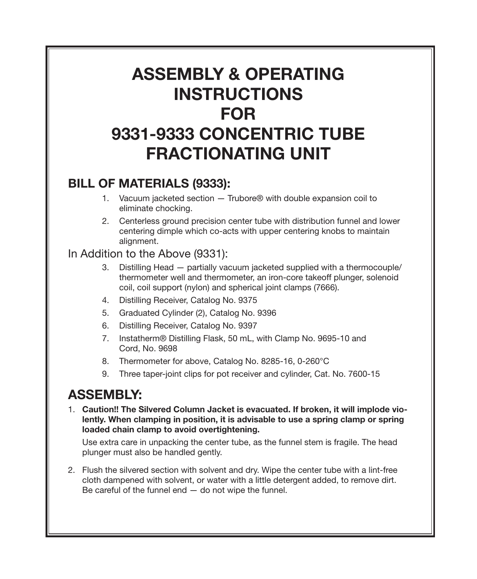# Assembly & Operating **INSTRUCTIONS FOR** 9331-9333 Concentric Tube Fractionating Unit

#### Bill of Materials (9333):

- 1. Vacuum jacketed section Trubore<sup>®</sup> with double expansion coil to eliminate chocking.
- 2. Centerless ground precision center tube with distribution funnel and lower centering dimple which co-acts with upper centering knobs to maintain alignment.

#### In Addition to the Above (9331):

- Distilling Head partially vacuum jacketed supplied with a thermocouple/ 3. thermometer well and thermometer, an iron-core takeoff plunger, solenoid coil, coil support (nylon) and spherical joint clamps (7666).
- 4. Distilling Receiver, Catalog No. 9375
- 5. Graduated Cylinder (2), Catalog No. 9396
- 6. Distilling Receiver, Catalog No. 9397
- 7. Instatherm® Distilling Flask, 50 mL, with Clamp No. 9695-10 and Cord, No. 9698
- 8. Thermometer for above, Catalog No. 8285-16, 0-260°C
- Three taper-joint clips for pot receiver and cylinder, Cat. No. 7600-15 9.

## **ASSEMBLY:**

1. Caution!! The Silvered Column Jacket is evacuated. If broken, it will implode violently. When clamping in position, it is advisable to use a spring clamp or spring loaded chain clamp to avoid overtightening.

Use extra care in unpacking the center tube, as the funnel stem is fragile. The head plunger must also be handled gently.

2. Flush the silvered section with solvent and dry. Wipe the center tube with a lint-free cloth dampened with solvent, or water with a little detergent added, to remove dirt. Be careful of the funnel end  $-$  do not wipe the funnel.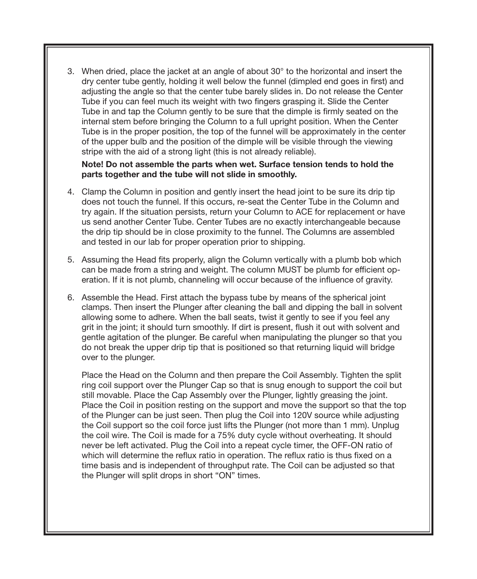When dried, place the jacket at an angle of about 30° to the horizontal and insert the 3. dry center tube gently, holding it well below the funnel (dimpled end goes in first) and adjusting the angle so that the center tube barely slides in. Do not release the Center Tube if you can feel much its weight with two fingers grasping it. Slide the Center Tube in and tap the Column gently to be sure that the dimple is firmly seated on the internal stem before bringing the Column to a full upright position. When the Center Tube is in the proper position, the top of the funnel will be approximately in the center of the upper bulb and the position of the dimple will be visible through the viewing stripe with the aid of a strong light (this is not already reliable).

#### Note! Do not assemble the parts when wet. Surface tension tends to hold the parts together and the tube will not slide in smoothly.

- Clamp the Column in position and gently insert the head joint to be sure its drip tip 4. does not touch the funnel. If this occurs, re-seat the Center Tube in the Column and try again. If the situation persists, return your Column to ACE for replacement or have us send another Center Tube. Center Tubes are no exactly interchangeable because the drip tip should be in close proximity to the funnel. The Columns are assembled and tested in our lab for proper operation prior to shipping.
- 5. Assuming the Head fits properly, align the Column vertically with a plumb bob which can be made from a string and weight. The column MUST be plumb for efficient operation. If it is not plumb, channeling will occur because of the influence of gravity.
- 6. Assemble the Head. First attach the bypass tube by means of the spherical joint clamps. Then insert the Plunger after cleaning the ball and dipping the ball in solvent allowing some to adhere. When the ball seats, twist it gently to see if you feel any grit in the joint; it should turn smoothly. If dirt is present, flush it out with solvent and gentle agitation of the plunger. Be careful when manipulating the plunger so that you do not break the upper drip tip that is positioned so that returning liquid will bridge over to the plunger.

Place the Head on the Column and then prepare the Coil Assembly. Tighten the split ring coil support over the Plunger Cap so that is snug enough to support the coil but still movable. Place the Cap Assembly over the Plunger, lightly greasing the joint. Place the Coil in position resting on the support and move the support so that the top of the Plunger can be just seen. Then plug the Coil into 120V source while adjusting the Coil support so the coil force just lifts the Plunger (not more than 1 mm). Unplug the coil wire. The Coil is made for a 75% duty cycle without overheating. It should never be left activated. Plug the Coil into a repeat cycle timer, the OFF-ON ratio of which will determine the reflux ratio in operation. The reflux ratio is thus fixed on a time basis and is independent of throughput rate. The Coil can be adjusted so that the Plunger will split drops in short "ON" times.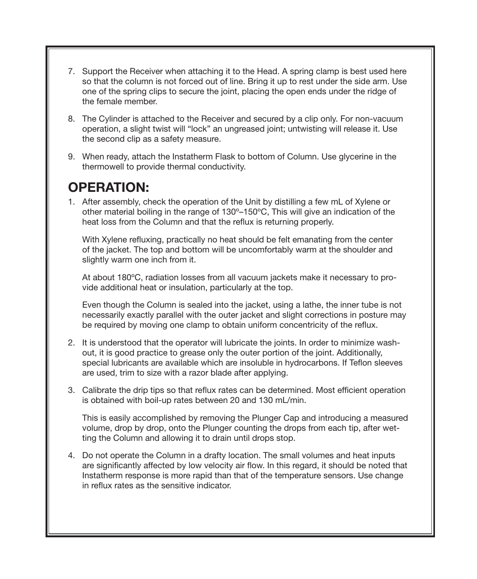- 7. Support the Receiver when attaching it to the Head. A spring clamp is best used here so that the column is not forced out of line. Bring it up to rest under the side arm. Use one of the spring clips to secure the joint, placing the open ends under the ridge of the female member.
- The Cylinder is attached to the Receiver and secured by a clip only. For non-vacuum 8. operation, a slight twist will "lock" an ungreased joint; untwisting will release it. Use the second clip as a safety measure.
- When ready, attach the Instatherm Flask to bottom of Column. Use glycerine in the 9. thermowell to provide thermal conductivity.

### Operation:

1. After assembly, check the operation of the Unit by distilling a few mL of Xylene or other material boiling in the range of 130º–150ºC, This will give an indication of the heat loss from the Column and that the reflux is returning properly.

With Xylene refluxing, practically no heat should be felt emanating from the center of the jacket. The top and bottom will be uncomfortably warm at the shoulder and slightly warm one inch from it.

At about 180ºC, radiation losses from all vacuum jackets make it necessary to provide additional heat or insulation, particularly at the top.

Even though the Column is sealed into the jacket, using a lathe, the inner tube is not necessarily exactly parallel with the outer jacket and slight corrections in posture may be required by moving one clamp to obtain uniform concentricity of the reflux.

- 2. It is understood that the operator will lubricate the joints. In order to minimize washout, it is good practice to grease only the outer portion of the joint. Additionally, special lubricants are available which are insoluble in hydrocarbons. If Teflon sleeves are used, trim to size with a razor blade after applying.
- Calibrate the drip tips so that reflux rates can be determined. Most efficient operation 3. is obtained with boil-up rates between 20 and 130 mL/min.

This is easily accomplished by removing the Plunger Cap and introducing a measured volume, drop by drop, onto the Plunger counting the drops from each tip, after wetting the Column and allowing it to drain until drops stop.

4. Do not operate the Column in a drafty location. The small volumes and heat inputs are significantly affected by low velocity air flow. In this regard, it should be noted that Instatherm response is more rapid than that of the temperature sensors. Use change in reflux rates as the sensitive indicator.